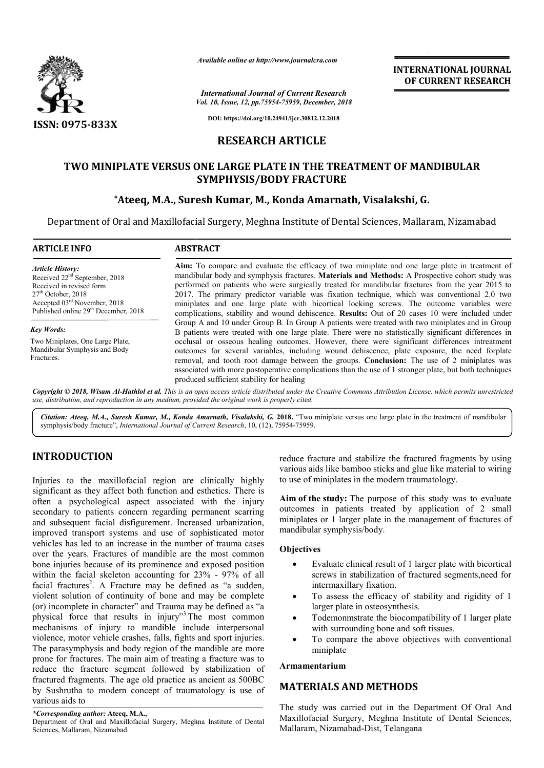

*Available online at http://www.journalcra.com*

# **RESEARCH ARTICLE**

# TWO MINIPLATE VERSUS ONE LARGE PLATE IN THE TREATMENT OF MANDIBULAR **SYMPHYSIS/BODY FRACTURE**

# **\*Ateeq, M.A., Suresh Kumar, M., Konda Ateeq, Amarnath, Visalakshi, G.**

|                                                                                                                                                                                                                                                                                                                                                                                                                                                                                                                                                                                                                                                                              |                                                                                                                                                                                                                                                                                                                                                                                                                                                                                                                                                                                                    | <b>INTERNATIONAL JOURNAL</b><br>OF CURRENT RESEARCH                                                                                                                                                                                                                                                                                                                                                                                                                                                                                                                                                               |  |  |  |  |  |  |
|------------------------------------------------------------------------------------------------------------------------------------------------------------------------------------------------------------------------------------------------------------------------------------------------------------------------------------------------------------------------------------------------------------------------------------------------------------------------------------------------------------------------------------------------------------------------------------------------------------------------------------------------------------------------------|----------------------------------------------------------------------------------------------------------------------------------------------------------------------------------------------------------------------------------------------------------------------------------------------------------------------------------------------------------------------------------------------------------------------------------------------------------------------------------------------------------------------------------------------------------------------------------------------------|-------------------------------------------------------------------------------------------------------------------------------------------------------------------------------------------------------------------------------------------------------------------------------------------------------------------------------------------------------------------------------------------------------------------------------------------------------------------------------------------------------------------------------------------------------------------------------------------------------------------|--|--|--|--|--|--|
|                                                                                                                                                                                                                                                                                                                                                                                                                                                                                                                                                                                                                                                                              |                                                                                                                                                                                                                                                                                                                                                                                                                                                                                                                                                                                                    | <b>International Journal of Current Research</b><br>Vol. 10, Issue, 12, pp.75954-75959, December, 2018                                                                                                                                                                                                                                                                                                                                                                                                                                                                                                            |  |  |  |  |  |  |
| <b>ISSN: 0975-833X</b>                                                                                                                                                                                                                                                                                                                                                                                                                                                                                                                                                                                                                                                       |                                                                                                                                                                                                                                                                                                                                                                                                                                                                                                                                                                                                    | DOI: https://doi.org/10.24941/ijcr.30812.12.2018                                                                                                                                                                                                                                                                                                                                                                                                                                                                                                                                                                  |  |  |  |  |  |  |
|                                                                                                                                                                                                                                                                                                                                                                                                                                                                                                                                                                                                                                                                              |                                                                                                                                                                                                                                                                                                                                                                                                                                                                                                                                                                                                    | <b>RESEARCH ARTICLE</b>                                                                                                                                                                                                                                                                                                                                                                                                                                                                                                                                                                                           |  |  |  |  |  |  |
|                                                                                                                                                                                                                                                                                                                                                                                                                                                                                                                                                                                                                                                                              |                                                                                                                                                                                                                                                                                                                                                                                                                                                                                                                                                                                                    |                                                                                                                                                                                                                                                                                                                                                                                                                                                                                                                                                                                                                   |  |  |  |  |  |  |
|                                                                                                                                                                                                                                                                                                                                                                                                                                                                                                                                                                                                                                                                              |                                                                                                                                                                                                                                                                                                                                                                                                                                                                                                                                                                                                    | TWO MINIPLATE VERSUS ONE LARGE PLATE IN THE TREATMENT OF MANDIBULAR<br><b>SYMPHYSIS/BODY FRACTURE</b>                                                                                                                                                                                                                                                                                                                                                                                                                                                                                                             |  |  |  |  |  |  |
|                                                                                                                                                                                                                                                                                                                                                                                                                                                                                                                                                                                                                                                                              |                                                                                                                                                                                                                                                                                                                                                                                                                                                                                                                                                                                                    | *Ateeq, M.A., Suresh Kumar, M., Konda Amarnath, Visalakshi, G.                                                                                                                                                                                                                                                                                                                                                                                                                                                                                                                                                    |  |  |  |  |  |  |
|                                                                                                                                                                                                                                                                                                                                                                                                                                                                                                                                                                                                                                                                              |                                                                                                                                                                                                                                                                                                                                                                                                                                                                                                                                                                                                    | Department of Oral and Maxillofacial Surgery, Meghna Institute of Dental Sciences, Mallaram, Nizamabad                                                                                                                                                                                                                                                                                                                                                                                                                                                                                                            |  |  |  |  |  |  |
|                                                                                                                                                                                                                                                                                                                                                                                                                                                                                                                                                                                                                                                                              |                                                                                                                                                                                                                                                                                                                                                                                                                                                                                                                                                                                                    |                                                                                                                                                                                                                                                                                                                                                                                                                                                                                                                                                                                                                   |  |  |  |  |  |  |
| <b>ARTICLE INFO</b>                                                                                                                                                                                                                                                                                                                                                                                                                                                                                                                                                                                                                                                          | <b>ABSTRACT</b>                                                                                                                                                                                                                                                                                                                                                                                                                                                                                                                                                                                    |                                                                                                                                                                                                                                                                                                                                                                                                                                                                                                                                                                                                                   |  |  |  |  |  |  |
| <b>Article History:</b><br>Received 22 <sup>nd</sup> September, 2018<br>Received in revised form<br>27 <sup>th</sup> October, 2018<br>Accepted $03^{\text{rd}}$ November, 2018<br>Published online $29^{\text{th}}$ December, 2018                                                                                                                                                                                                                                                                                                                                                                                                                                           | Aim: To compare and evaluate the efficacy of two miniplate and one large plate in treatment of<br>mandibular body and symphysis fractures. Materials and Methods: A Prospective cohort study was<br>performed on patients who were surgically treated for mandibular fractures from the year 2015 to<br>2017. The primary predictor variable was fixation technique, which was conventional 2.0 two<br>miniplates and one large plate with bicortical locking screws. The outcome variables were<br>complications, stability and wound dehiscence. Results: Out of 20 cases 10 were included under |                                                                                                                                                                                                                                                                                                                                                                                                                                                                                                                                                                                                                   |  |  |  |  |  |  |
| <b>Key Words:</b><br>Two Miniplates, One Large Plate,<br>Mandibular Symphysis and Body<br>Fractures.                                                                                                                                                                                                                                                                                                                                                                                                                                                                                                                                                                         | produced sufficient stability for healing                                                                                                                                                                                                                                                                                                                                                                                                                                                                                                                                                          | Group A and 10 under Group B. In Group A patients were treated with two miniplates and in Group<br>B patients were treated with one large plate. There were no statistically significant differences in<br>occlusal or osseous healing outcomes. However, there were significant differences intreatment<br>outcomes for several variables, including wound dehiscence, plate exposure, the need forplate<br>removal, and tooth root damage between the groups. Conclusion: The use of 2 miniplates was<br>associated with more postoperative complications than the use of 1 stronger plate, but both techniques |  |  |  |  |  |  |
| symphysis/body fracture", International Journal of Current Research, 10, (12), 75954-75959.                                                                                                                                                                                                                                                                                                                                                                                                                                                                                                                                                                                  |                                                                                                                                                                                                                                                                                                                                                                                                                                                                                                                                                                                                    | Citation: Ateeq, M.A., Suresh Kumar, M., Konda Amarnath, Visalakshi, G. 2018. "Two miniplate versus one large plate in the treatment of mandibular                                                                                                                                                                                                                                                                                                                                                                                                                                                                |  |  |  |  |  |  |
| <b>INTRODUCTION</b><br>Injuries to the maxillofacial region are clinically highly<br>significant as they affect both function and esthetics. There is                                                                                                                                                                                                                                                                                                                                                                                                                                                                                                                        |                                                                                                                                                                                                                                                                                                                                                                                                                                                                                                                                                                                                    | reduce fracture and stabilize the fractured fragments by using<br>various aids like bamboo sticks and glue like material to wiring<br>to use of miniplates in the modern traumatology.                                                                                                                                                                                                                                                                                                                                                                                                                            |  |  |  |  |  |  |
| often a psychological aspect associated with the injury<br>secondary to patients concern regarding permanent scarring<br>and subsequent facial disfigurement. Increased urbanization,<br>improved transport systems and use of sophisticated motor                                                                                                                                                                                                                                                                                                                                                                                                                           |                                                                                                                                                                                                                                                                                                                                                                                                                                                                                                                                                                                                    | Aim of the study: The purpose of this study was to evaluate<br>outcomes in patients treated by application of 2 small<br>miniplates or 1 larger plate in the management of fractures of<br>mandibular symphysis/body.                                                                                                                                                                                                                                                                                                                                                                                             |  |  |  |  |  |  |
| vehicles has led to an increase in the number of trauma cases<br>over the years. Fractures of mandible are the most common                                                                                                                                                                                                                                                                                                                                                                                                                                                                                                                                                   |                                                                                                                                                                                                                                                                                                                                                                                                                                                                                                                                                                                                    | Objectives                                                                                                                                                                                                                                                                                                                                                                                                                                                                                                                                                                                                        |  |  |  |  |  |  |
| bone injuries because of its prominence and exposed position<br>within the facial skeleton accounting for 23% - 97% of all<br>facial fractures <sup>2</sup> . A Fracture may be defined as "a sudden,<br>violent solution of continuity of bone and may be complete<br>(or) incomplete in character" and Trauma may be defined as "a<br>physical force that results in injury" <sup>3</sup> The most common<br>mechanisms of injury to mandible include interpersonal<br>violence, motor vehicle crashes, falls, fights and sport injuries.<br>The parasymphysis and body region of the mandible are more<br>prone for fractures. The main aim of treating a fracture was to |                                                                                                                                                                                                                                                                                                                                                                                                                                                                                                                                                                                                    | Evaluate clinical result of 1 larger plate with bicortical<br>screws in stabilization of fractured segments, need for<br>intermaxillary fixation.<br>To assess the efficacy of stability and rigidity of 1<br>$\bullet$<br>larger plate in osteosynthesis.<br>Todemonmstrate the biocompatibility of 1 larger plate<br>$\bullet$<br>with surrounding bone and soft tissues.<br>To compare the above objectives with conventional<br>$\bullet$<br>miniplate                                                                                                                                                        |  |  |  |  |  |  |
| reduce the fracture segment followed by stabilization of<br>fractured fragments. The age old practice as ancient as 500BC                                                                                                                                                                                                                                                                                                                                                                                                                                                                                                                                                    |                                                                                                                                                                                                                                                                                                                                                                                                                                                                                                                                                                                                    | Armamentarium                                                                                                                                                                                                                                                                                                                                                                                                                                                                                                                                                                                                     |  |  |  |  |  |  |
| by Sushrutha to modern concept of traumatology is use of                                                                                                                                                                                                                                                                                                                                                                                                                                                                                                                                                                                                                     |                                                                                                                                                                                                                                                                                                                                                                                                                                                                                                                                                                                                    | <b>MATERIALS AND METHODS</b>                                                                                                                                                                                                                                                                                                                                                                                                                                                                                                                                                                                      |  |  |  |  |  |  |
| various aids to<br>*Corresponding author: Ateeq, M.A.,<br>Department of Oral and Maxillofacial Surgery, Meghna Institute of Dental<br>Sciences, Mallaram, Nizamabad.                                                                                                                                                                                                                                                                                                                                                                                                                                                                                                         |                                                                                                                                                                                                                                                                                                                                                                                                                                                                                                                                                                                                    | The study was carried out in the Department Of Oral And<br>Maxillofacial Surgery, Meghna Institute of Dental Sciences,<br>Mallaram, Nizamabad-Dist, Telangana                                                                                                                                                                                                                                                                                                                                                                                                                                                     |  |  |  |  |  |  |

# **INTRODUCTION**

## **Objectives**

- Evaluate clinical result of 1 larger plate with bicortical screws in stabilization of fractured segments,need for intermaxillary fixation.
- To assess the efficacy of stability and rigidity of 1 larger plate in osteosynthesis.
- Todemonmstrate the biocompatibility of 1 larger plate with surrounding bone and soft tissues.
- with surrounding bone and soft tissues.<br>
 To compare the above objectives with conventional miniplate

## **Armamentarium**

# **MATERIALS AND METHODS METHODS**

*<sup>\*</sup>Corresponding author:* **Ateeq, M.A.,** 

Department of Oral and Maxillofacial Surgery, Meghna Institute of Dental Sciences, Mallaram, Nizamabad.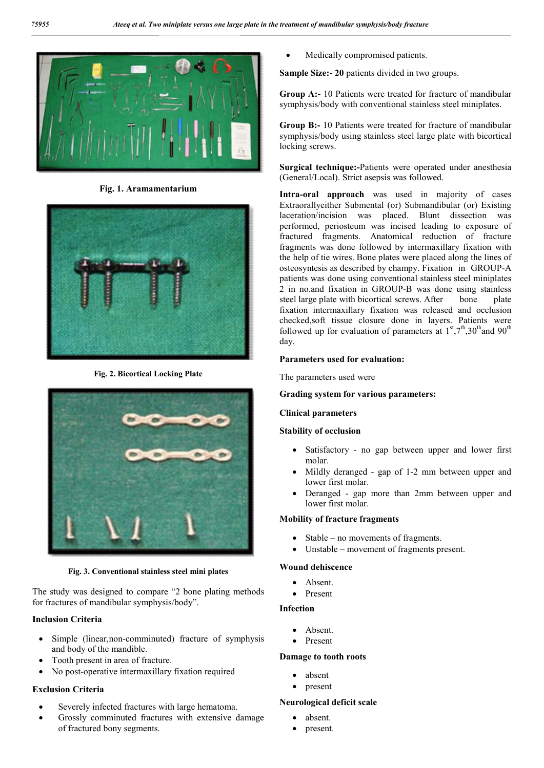

**Fig. 1. Aramamentarium**



**Fig. 2. Bicortical Locking Plate**



**Fig. 3. Conventional stainless steel mini plates**

The study was designed to compare "2 bone plating methods for fractures of mandibular symphysis/body".

# **Inclusion Criteria**

- Simple (linear, non-comminuted) fracture of symphysis and body of the mandible.
- Tooth present in area of fracture.
- No post-operative intermaxillary fixation required

# **Exclusion Criteria**

- Severely infected fractures with large hematoma.
- Grossly comminuted fractures with extensive damage of fractured bony segments.

Medically compromised patients.

**Sample Size:- 20** patients divided in two groups.

**Group A:-** 10 Patients were treated for fracture of mandibular symphysis/body with conventional stainless steel miniplates.

**Group B:-** 10 Patients were treated for fracture of mandibular symphysis/body using stainless steel large plate with bicortical locking screws.

**Surgical technique:-**Patients were operated under anesthesia (General/Local). Strict asepsis was followed.

**Intra-oral approach** was used in majority of cases Extraorallyeither Submental (or) Submandibular (or) Existing laceration/incision was placed. Blunt dissection was performed, periosteum was incised leading to exposure of fractured fragments. Anatomical reduction of fracture fragments was done followed by intermaxillary fixation with the help of tie wires. Bone plates were placed along the lines of osteosyntesis as described by champy. Fixation in GROUP-A patients was done using conventional stainless steel miniplates 2 in no.and fixation in GROUP-B was done using stainless steel large plate with bicortical screws. After bone plate fixation intermaxillary fixation was released and occlusion checked,soft tissue closure done in layers. Patients were followed up for evaluation of parameters at  $1<sup>st</sup>,7<sup>th</sup>,30<sup>th</sup>$  and 90<sup>th</sup> day.

# **Parameters used for evaluation:**

The parameters used were

## **Grading system for various parameters:**

# **Clinical parameters**

# **Stability of occlusion**

- Satisfactory no gap between upper and lower first molar.
- Mildly deranged gap of 1-2 mm between upper and lower first molar.
- Deranged gap more than 2mm between upper and lower first molar.

## **Mobility of fracture fragments**

- Stable no movements of fragments.
- Unstable movement of fragments present.

## **Wound dehiscence**

- Absent.
- Present

## **Infection**

- Absent.
- Present

## **Damage to tooth roots**

- absent
- present

## **Neurological deficit scale**

- absent.
- present.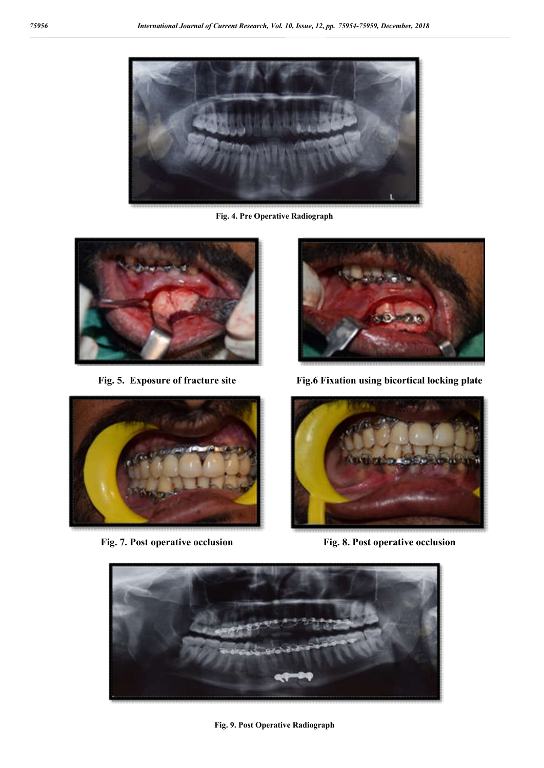

**Fig. 4. Pre Operative Radiograph**





**Fig. 5. Exposure of fracture site Fig.6 Fixation using bicortical locking plate**



**Fig. 7. Post operative occlusion Fig. 8. Post operative occlusion**



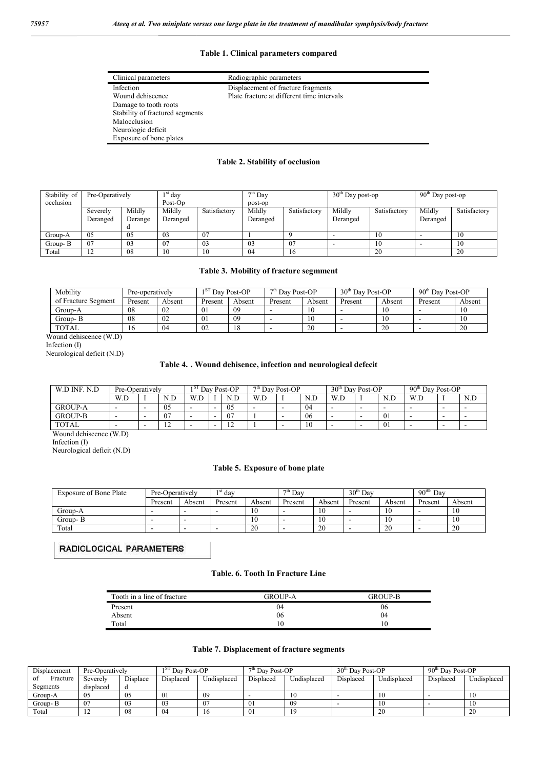## **Table 1. Clinical parameters compared**

| Clinical parameters             | Radiographic parameters                    |
|---------------------------------|--------------------------------------------|
| Infection                       | Displacement of fracture fragments         |
| Wound dehiscence                | Plate fracture at different time intervals |
| Damage to tooth roots           |                                            |
| Stability of fractured segments |                                            |
| Malocclusion                    |                                            |
| Neurologic deficit              |                                            |
| Exposure of bone plates         |                                            |

### **Table 2. Stability of occlusion**

| Stability of<br>occlusion | Pre-Operatively      |                   | $\frac{\text{st}}{\text{day}}$<br>Post-Op |              | $\frac{1}{2}$ <sup>th</sup> Day<br>post-op |              | $\overline{30}^{\text{th}}$ Day post-op |              | $90th$ Day post-op |              |  |
|---------------------------|----------------------|-------------------|-------------------------------------------|--------------|--------------------------------------------|--------------|-----------------------------------------|--------------|--------------------|--------------|--|
|                           | Severely<br>Deranged | Mildly<br>Derange | Mildly<br>Deranged                        | Satisfactory | Mildly<br>Deranged                         | Satisfactory | Mildly<br>Deranged                      | Satisfactory | Mildly<br>Deranged | Satisfactory |  |
| Group-A                   | 05                   | 05                | 03                                        | 07           |                                            |              |                                         | 10           |                    | 10           |  |
| Group-B                   | 07                   | 03                | - 07                                      | 03           | 03                                         | 07           |                                         | 10           |                    | 10           |  |
| Total                     | 12                   | -08               | 10                                        | 10           | 04                                         | 16           |                                         | 20           |                    | 20           |  |

#### **Table 3. Mobility of fracture segmment**

| Mobility            | Pre-operatively |        | Dav Post-OP<br>18. |        | $7th$ Dav Post-OP |        | $30th$ Day Post-OP |        | 90 <sup>th</sup> Day Post-OP |        |
|---------------------|-----------------|--------|--------------------|--------|-------------------|--------|--------------------|--------|------------------------------|--------|
| of Fracture Segment | Present         | Absent | Present            | Absent | Present           | Absent | Present            | Absent | Present                      | Absent |
| Group-A             | 08              | UZ     | 01                 | 09     |                   | 10     |                    |        |                              |        |
| Group- B            | 08              | UZ     | 01                 | 09     |                   | 10     |                    | 10     |                              |        |
| <b>TOTAL</b>        | 16              | U4     | 02                 | 18.    |                   | 20     |                    | 20     |                              | 20     |

Wound dehiscence (W.D)

Infection (I)

Neurological deficit (N.D)

### **Table 4. . Wound dehisence, infection and neurological defecit**

| W.D INF.<br>N.D | Pre-Operatively          |   | Post-OP<br>Day.<br>151   |           | $7th$ Day Post-OP |              |     | 30 <sup>th</sup><br>Post-OP<br>Dav. |    |                          | 90 <sup>th</sup><br>Day Post-OP |                |                          |                          |                          |
|-----------------|--------------------------|---|--------------------------|-----------|-------------------|--------------|-----|-------------------------------------|----|--------------------------|---------------------------------|----------------|--------------------------|--------------------------|--------------------------|
|                 | W.D                      |   | N.D                      | W.<br>V.L |                   | $\mathbf{M}$ | W.D |                                     |    | W.D                      |                                 | N.D            | W.D                      |                          | N.D                      |
| <b>GROUP-A</b>  | $\overline{\phantom{0}}$ | - | 05                       |           | -                 | 05           | -   |                                     | 04 | $\overline{\phantom{a}}$ | -                               | -              | $\overline{\phantom{a}}$ | -                        | -                        |
| <b>GROUP-B</b>  |                          | - | 07                       |           | -                 | $\sim$       |     |                                     | 06 | -                        | -                               | Λ1<br>UΙ       |                          | $\overline{\phantom{a}}$ | $\overline{\phantom{a}}$ |
| <b>TOTAL</b>    | -                        | - | $\sim$<br>$\overline{1}$ |           | -                 | -<br>. .     |     |                                     | 10 | $\overline{\phantom{a}}$ |                                 | 0 <sub>1</sub> | $\overline{\phantom{a}}$ | $\overline{\phantom{a}}$ | -                        |

Wound dehiscence (W.D)

Infection (I)

Neurological deficit (N.D)

#### **Table 5. Exposure of bone plate**

| <b>Exposure of Bone Plate</b> | Pre-Operatively |        | $\mathrm{d}$ <sup>1 st</sup> day |        | $7th$ Day |        | 30 <sup>th</sup><br>Dav |        | $90^{t0h}$<br>Dav |               |
|-------------------------------|-----------------|--------|----------------------------------|--------|-----------|--------|-------------------------|--------|-------------------|---------------|
|                               | Present         | Absent | Present                          | Absent | Present   | Absent | Present                 | Absent | Present           | Absent        |
| Group-A                       |                 |        |                                  | 10     |           | 10     | -                       | 10     | ۰                 | 10<br>1 V     |
| Group-B                       | $\sim$          |        |                                  | 10     |           | 10     | -                       | 10     | -                 | $\sim$<br>1 U |
| Total                         | -               |        | $\overline{\phantom{a}}$         | 20     |           | 20     |                         | 20     | -                 | 20            |

RADIOLOGICAL PARAMETERS

#### **Table. 6. Tooth In Fracture Line**

| Tooth in a line of fracture | GROUP-A | <b>GROUP-B</b> |
|-----------------------------|---------|----------------|
| Present                     | 04      | 06             |
| Absent                      | 06      | 04             |
| Total                       | 10      | 10             |

#### **Table 7. Displacement of fracture segments**

| Displacement   | Pre-Operatively |          | Day Post-OP<br>51 |             | $7th$ Day Post-OP |             | 30 <sup>th</sup> Day Post-OP |             | 90 <sup>th</sup> Day Post-OP |             |
|----------------|-----------------|----------|-------------------|-------------|-------------------|-------------|------------------------------|-------------|------------------------------|-------------|
| Fracture<br>0t | Severely        | Displace | Displaced         | Undisplaced | Displaced         | Undisplaced | Displaced                    | Undisplaced | Displaced                    | Undisplaced |
| Segments       | displaced       |          |                   |             |                   |             |                              |             |                              |             |
| Group-A        | 05              | 05       | 0 <sub>1</sub>    | 09          |                   | 10          |                              | 10          |                              | 10          |
| Group- B       | 07              | 03       | 03                | 07          | $\overline{0}$    | 09          |                              | 1Ο          |                              |             |
| Total          | . .             | 08       | 04                |             | 01                |             |                              | 20          |                              | 20          |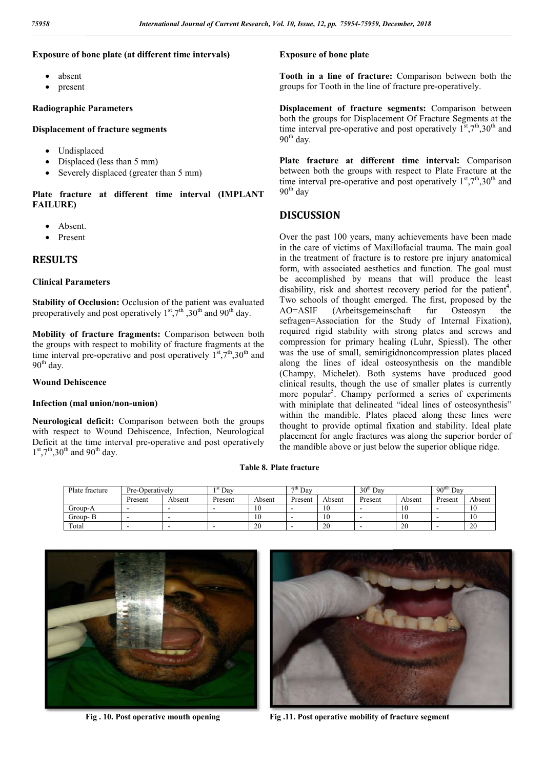## **Exposure of bone plate (at different time intervals)**

- absent
- present

#### **Radiographic Parameters**

#### **Displacement of fracture segments**

- Undisplaced
- Displaced (less than 5 mm)
- Severely displaced (greater than 5 mm)

#### **Plate fracture at different time interval (IMPLANT FAILURE)**

- Absent.
- Present

## **RESULTS**

#### **Clinical Parameters**

**Stability of Occlusion:** Occlusion of the patient was evaluated preoperatively and post operatively  $1^{st}$ ,  $7^{th}$ ,  $30^{th}$  and  $90^{th}$  day.

**Mobility of fracture fragments:** Comparison between both the groups with respect to mobility of fracture fragments at the time interval pre-operative and post operatively  $1^{st}$ ,  $7^{th}$ ,  $30^{th}$  and 90<sup>th</sup> day.

#### **Wound Dehiscence**

#### **Infection (mal union/non-union)**

**Neurological deficit:** Comparison between both the groups with respect to Wound Dehiscence, Infection, Neurological Deficit at the time interval pre-operative and post operatively  $1<sup>st</sup>$ ,7<sup>th</sup>,30<sup>th</sup> and 90<sup>th</sup> day.

Tooth in a line of fracture: Comparison between both the groups for Tooth in the line of fracture pre-operatively.

**Displacement of fracture segments:** Comparison between both the groups for Displacement Of Fracture Segments at the both the groups for Displacement Of Fracture Segments at the time interval pre-operative and post operatively  $1^{\text{st}}$ ,7<sup>th</sup>,30<sup>th</sup> and  $90<sup>th</sup>$  day.

Plate fracture at different time interval: Comparison between both the groups with respect to Plate Fracture at the between both the groups with respect to Plate Fracture at the time interval pre-operative and post operatively  $1<sup>st</sup>,7<sup>th</sup>,30<sup>th</sup>$  and  $90<sup>th</sup>$  day

## **DISCUSSION**

**Exposure of bone plate**<br> **Exposure of bone plate**<br> **Cooth in a line of frame frame and the definements**<br> **Exposure of bone interval pre-operatively**<br> **Exposure of bone plate**<br> **Exposure of the groups for Tooth in the l**<br> Over the past 100 years, many achievements have been made in the care of victims of Maxillofacial trauma. The main goal in the care of victims of Maxillofacial trauma. The main goal in the treatment of fracture is to restore pre injury anatomical form, with associated aesthetics and function. The goal must be accomplished by means that will produce the least form, with associated aesthetics and function. The goal must<br>be accomplished by means that will produce the least<br>disability, risk and shortest recovery period for the patient<sup>4</sup>. Two schools of thought emerged. The first, proposed by the AO=ASIF (Arbeitsgemeinschaft fur Osteosyn the AO=ASIF (Arbeitsgemeinschaft fur Osteosyn sefragen=Association for the Study of Internal Fixation), required rigid stability with strong plates and screws and compression for primary healing (Luhr, Spiessl). The other was the use of small, semirigidnoncompression plates placed along the lines of ideal osteosynthesis on the mandible (Champy, Michelet). Both systems have produced good clinical results, though the use of smaller plates is currently more popular<sup>5</sup>. Champy performed a series of experiments with miniplate that delineated "ideal lines of osteosynthesis" within the mandible. Plates placed along these lines were thought to provide optimal fixation and stability. Ideal plate placement for angle fractures was along the superior border of the mandible above or just below the superior oblique ridge. of Internal Fixation),<br>plates and screws and<br>thr, Spiessl). The other the use of small, semirigidnoncompression plates<br>g the lines of ideal osteosynthesis on the many, Michelet). Both systems have produced<br>cal results, though the use of smaller plates is cu<br>popular<sup>5</sup>. Champy performed a se **Example 12. pp. 75954-75959, December, 2018**<br> **Postric of bone plate**<br> **Postric of bone plate**<br> **Postric of fracture:** Comparistic the groups for Tooth in the line of fracture pregnents:<br>
the groups for Displacement Of Fr

#### **Table 8. Plate fracture**

| Plate fracture | Pre-Operatively |        | Dav     |        | $7^{\text{th}}$ Day |        | 30 <sup>th</sup><br>Dav |        | $90^{t0h}$<br>Dav |        |
|----------------|-----------------|--------|---------|--------|---------------------|--------|-------------------------|--------|-------------------|--------|
|                | Present         | Absent | Present | Absent | Present             | Absent | Present                 | Absent | Present           | Absent |
| Group-A        |                 |        | -       | 10     |                     | 1Ψ     | -                       | 10     |                   | 1 V    |
| Group- B       |                 |        |         | 10     |                     | 1Ψ     | -                       | 10     |                   |        |
| Total          |                 |        |         | 20     |                     | 20     |                         | 20     |                   | 20     |



**Fig . 10. Post operative mouth opening**



**Fig .11. Post operative mobility of fracture segment**